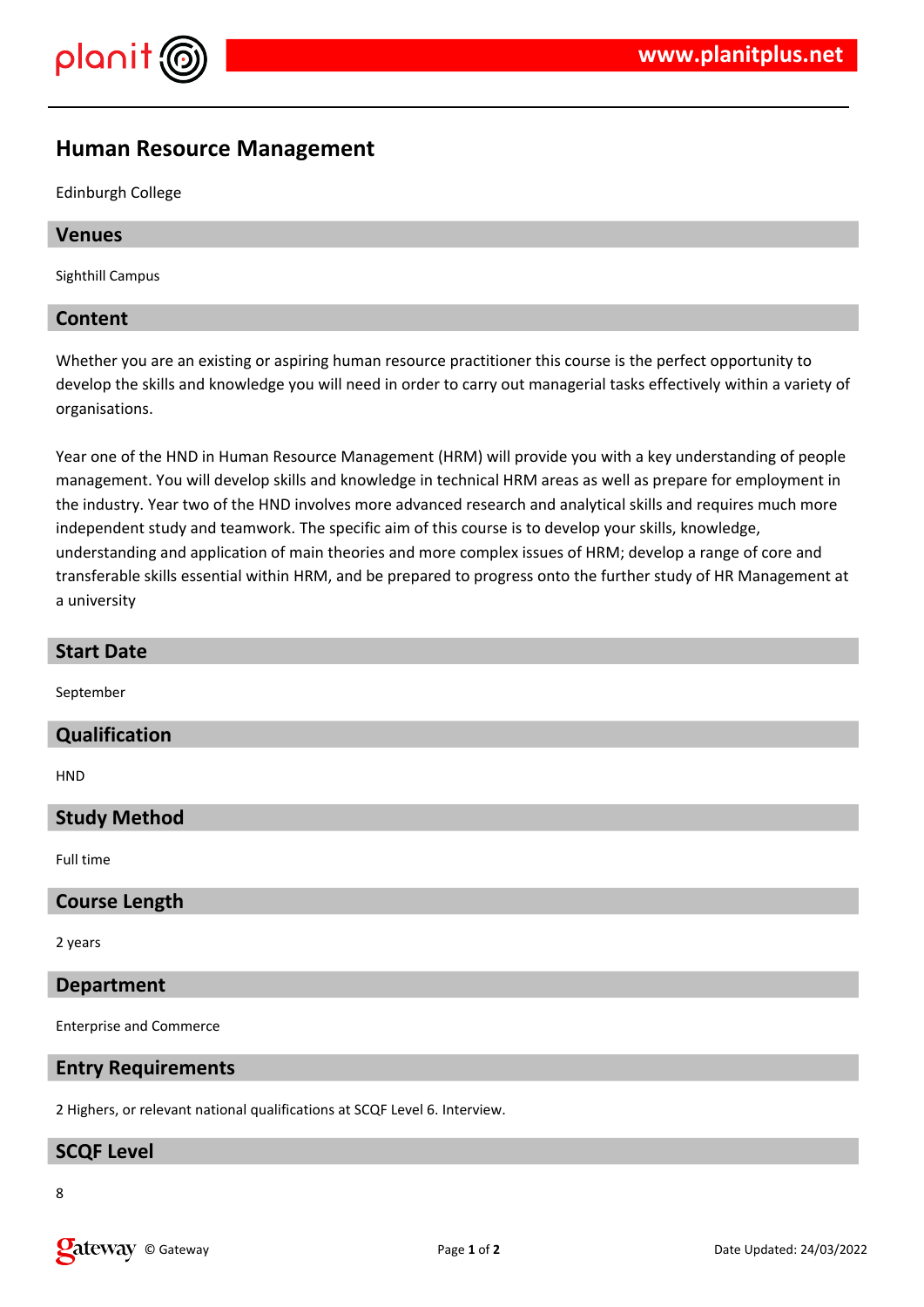

# **Human Resource Management**

Edinburgh College

# **Venues**

Sighthill Campus

# **Content**

Whether you are an existing or aspiring human resource practitioner this course is the perfect opportunity to develop the skills and knowledge you will need in order to carry out managerial tasks effectively within a variety of organisations.

Year one of the HND in Human Resource Management (HRM) will provide you with a key understanding of people management. You will develop skills and knowledge in technical HRM areas as well as prepare for employment in the industry. Year two of the HND involves more advanced research and analytical skills and requires much more independent study and teamwork. The specific aim of this course is to develop your skills, knowledge, understanding and application of main theories and more complex issues of HRM; develop a range of core and transferable skills essential within HRM, and be prepared to progress onto the further study of HR Management at a university

September

#### **Qualification**

**HND** 

# **Study Method**

Full time

#### **Course Length**

2 years

#### **Department**

Enterprise and Commerce

#### **Entry Requirements**

2 Highers, or relevant national qualifications at SCQF Level 6. Interview.

#### **SCQF Level**